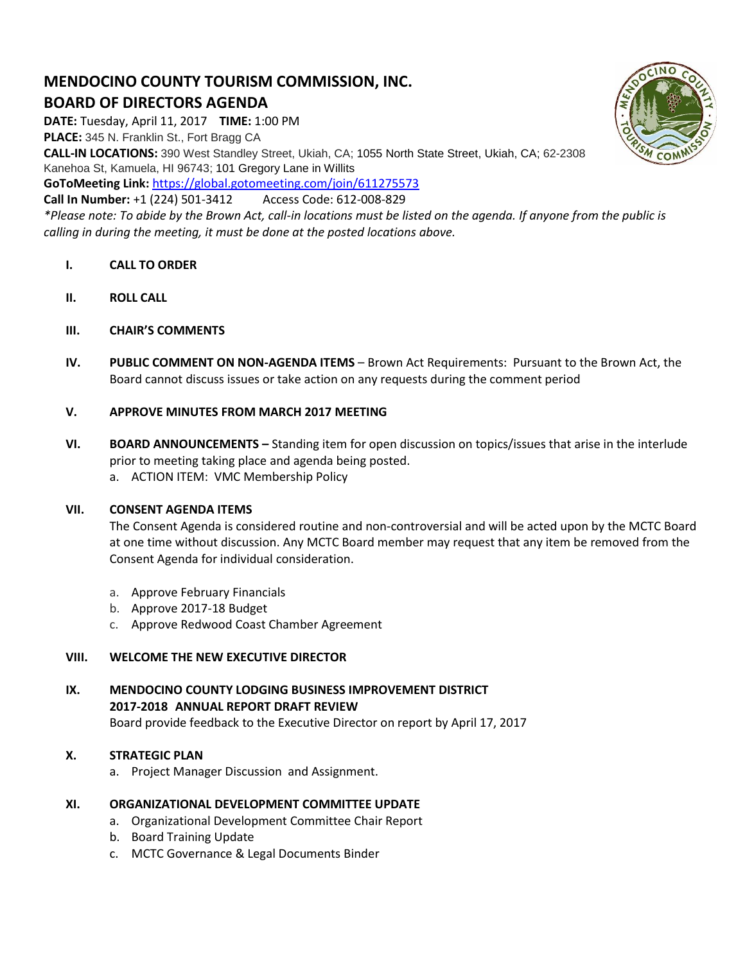# **MENDOCINO COUNTY TOURISM COMMISSION, INC. BOARD OF DIRECTORS AGENDA**

**DATE:** Tuesday, April 11, 2017 **TIME:** 1:00 PM **PLACE:** 345 N. Franklin St., Fort Bragg CA **CALL-IN LOCATIONS:** 390 West Standley Street, Ukiah, CA; 1055 North State Street, Ukiah, CA; 62-2308

Kanehoa St, Kamuela, HI 96743; 101 Gregory Lane in Willits

**GoToMeeting Link:** <https://global.gotomeeting.com/join/611275573>

**Call In Number:** +1 (224) 501-3412 Access Code: 612-008-829

*\*Please note: To abide by the Brown Act, call-in locations must be listed on the agenda. If anyone from the public is calling in during the meeting, it must be done at the posted locations above.*

- **I. CALL TO ORDER**
- **II. ROLL CALL**
- **III. CHAIR'S COMMENTS**
- **IV. PUBLIC COMMENT ON NON-AGENDA ITEMS** Brown Act Requirements: Pursuant to the Brown Act, the Board cannot discuss issues or take action on any requests during the comment period

## **V. APPROVE MINUTES FROM MARCH 2017 MEETING**

**VI. BOARD ANNOUNCEMENTS –** Standing item for open discussion on topics/issues that arise in the interlude prior to meeting taking place and agenda being posted. a. ACTION ITEM: VMC Membership Policy

## **VII. CONSENT AGENDA ITEMS**

The Consent Agenda is considered routine and non-controversial and will be acted upon by the MCTC Board at one time without discussion. Any MCTC Board member may request that any item be removed from the Consent Agenda for individual consideration.

- a. Approve February Financials
- b. Approve 2017-18 Budget
- c. Approve Redwood Coast Chamber Agreement

# **VIII. WELCOME THE NEW EXECUTIVE DIRECTOR**

**IX. MENDOCINO COUNTY LODGING BUSINESS IMPROVEMENT DISTRICT 2017-2018 ANNUAL REPORT DRAFT REVIEW**  Board provide feedback to the Executive Director on report by April 17, 2017

# **X. STRATEGIC PLAN**

a. Project Manager Discussion and Assignment.

## **XI. ORGANIZATIONAL DEVELOPMENT COMMITTEE UPDATE**

- a. Organizational Development Committee Chair Report
- b. Board Training Update
- c. MCTC Governance & Legal Documents Binder